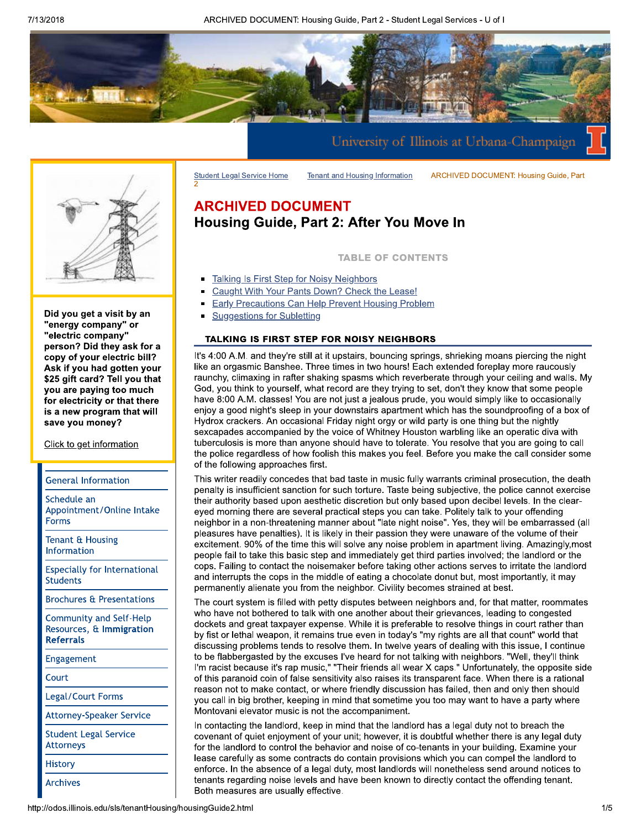**Tenant and Housing Information** 



Did you get a visit by an "energy company" or "electric company" person? Did they ask for a copy of your electric bill? Ask if you had gotten your \$25 gift card? Tell you that you are paying too much for electricity or that there is a new program that will save you money?

Click to get information

## **General Information**

Schedule an Appointment/Online Intake **Forms** 

Tenant & Housing Information

**Especially for International Students** 

**Brochures & Presentations** 

**Community and Self-Help** Resources, & Immigration **Referrals** 

Engagement

Court

Legal/Court Forms

**Attorney-Speaker Service** 

**Student Legal Service Attorneys** 

**History** 

**Archives** 

# **ARCHIVED DOCUMENT** Housing Guide, Part 2: After You Move In

**TABLE OF CONTENTS** 

**ARCHIVED DOCUMENT: Housing Guide, Part** 

- Talking Is First Step for Noisy Neighbors
- Caught With Your Pants Down? Check the Lease!
- **Early Precautions Can Help Prevent Housing Problem**
- **Suggestions for Subletting**  $\blacksquare$

**Student Legal Service Home** 

# TALKING IS FIRST STEP FOR NOISY NEIGHBORS

It's 4:00 A.M. and they're still at it upstairs, bouncing springs, shrieking moans piercing the night like an orgasmic Banshee. Three times in two hours! Each extended foreplay more raucously raunchy, climaxing in rafter shaking spasms which reverberate through your ceiling and walls. My God, you think to yourself, what record are they trying to set, don't they know that some people have 8:00 A.M. classes! You are not just a jealous prude, you would simply like to occasionally enjoy a good night's sleep in your downstairs apartment which has the soundproofing of a box of Hydrox crackers. An occasional Friday night orgy or wild party is one thing but the nightly sexcapades accompanied by the voice of Whitney Houston warbling like an operatic diva with tuberculosis is more than anyone should have to tolerate. You resolve that you are going to call the police regardless of how foolish this makes you feel. Before you make the call consider some of the following approaches first.

This writer readily concedes that bad taste in music fully warrants criminal prosecution, the death penalty is insufficient sanction for such torture. Taste being subjective, the police cannot exercise their authority based upon aesthetic discretion but only based upon decibel levels. In the cleareyed morning there are several practical steps you can take. Politely talk to your offending neighbor in a non-threatening manner about "late night noise". Yes, they will be embarrassed (all pleasures have penalties). It is likely in their passion they were unaware of the volume of their excitement. 90% of the time this will solve any noise problem in apartment living. Amazingly, most people fail to take this basic step and immediately get third parties involved; the landlord or the cops. Failing to contact the noisemaker before taking other actions serves to irritate the landlord and interrupts the cops in the middle of eating a chocolate donut but, most importantly, it may permanently alienate you from the neighbor. Civility becomes strained at best.

The court system is filled with petty disputes between neighbors and, for that matter, roommates who have not bothered to talk with one another about their grievances, leading to congested dockets and great taxpayer expense. While it is preferable to resolve things in court rather than by fist or lethal weapon, it remains true even in today's "my rights are all that count" world that discussing problems tends to resolve them. In twelve years of dealing with this issue, I continue to be flabbergasted by the excuses I've heard for not talking with neighbors. "Well, they'll think I'm racist because it's rap music," "Their friends all wear X caps." Unfortunately, the opposite side of this paranoid coin of false sensitivity also raises its transparent face. When there is a rational reason not to make contact, or where friendly discussion has failed, then and only then should you call in big brother, keeping in mind that sometime you too may want to have a party where Montovani elevator music is not the accompaniment.

In contacting the landlord, keep in mind that the landlord has a legal duty not to breach the covenant of quiet enjoyment of your unit; however, it is doubtful whether there is any legal duty for the landlord to control the behavior and noise of co-tenants in your building. Examine your lease carefully as some contracts do contain provisions which you can compel the landlord to enforce. In the absence of a legal duty, most landlords will nonetheless send around notices to tenants regarding noise levels and have been known to directly contact the offending tenant. Both measures are usually effective.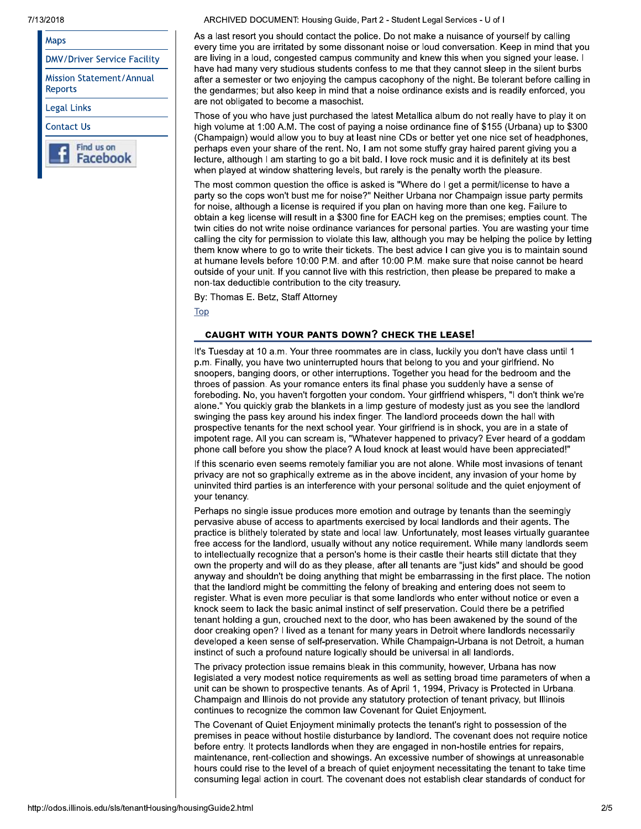#### 7/13/2018

| Maps                                |
|-------------------------------------|
| <b>DMV/Driver Service Facility</b>  |
| Mission Statement/Annual<br>Reports |
| Legal Links                         |
| Contact Us                          |
| Find us on<br>Facebook              |

ARCHIVED DOCUMENT: Housing Guide, Part 2 - Student Legal Services - U of I

As a last resort you should contact the police. Do not make a nuisance of yourself by calling every time you are irritated by some dissonant noise or loud conversation. Keep in mind that you are living in a loud, congested campus community and knew this when you signed your lease. I have had many very studious students confess to me that they cannot sleep in the silent burbs after a semester or two enjoying the campus cacophony of the night. Be tolerant before calling in the gendarmes; but also keep in mind that a noise ordinance exists and is readily enforced, you are not obligated to become a masochist.

Those of you who have just purchased the latest Metallica album do not really have to play it on high volume at 1:00 A.M. The cost of paying a noise ordinance fine of \$155 (Urbana) up to \$300 (Champaign) would allow you to buy at least nine CDs or better yet one nice set of headphones, perhaps even your share of the rent. No, I am not some stuffy gray haired parent giving you a lecture, although I am starting to go a bit bald. I love rock music and it is definitely at its best when played at window shattering levels, but rarely is the penalty worth the pleasure.

The most common question the office is asked is "Where do I get a permit/license to have a party so the cops won't bust me for noise?" Neither Urbana nor Champaign issue party permits for noise, although a license is required if you plan on having more than one keg. Failure to obtain a keg license will result in a \$300 fine for EACH keg on the premises; empties count. The twin cities do not write noise ordinance variances for personal parties. You are wasting your time calling the city for permission to violate this law, although you may be helping the police by letting them know where to go to write their tickets. The best advice I can give you is to maintain sound at humane levels before 10:00 P.M. and after 10:00 P.M. make sure that noise cannot be heard outside of your unit. If you cannot live with this restriction, then please be prepared to make a non-tax deductible contribution to the city treasury.

By: Thomas E. Betz, Staff Attorney

**Top** 

# **CAUGHT WITH YOUR PANTS DOWN? CHECK THE LEASE!**

It's Tuesday at 10 a.m. Your three roommates are in class, luckily you don't have class until 1 p.m. Finally, you have two uninterrupted hours that belong to you and your girlfriend. No snoopers, banging doors, or other interruptions. Together you head for the bedroom and the throes of passion. As your romance enters its final phase you suddenly have a sense of foreboding. No, you haven't forgotten your condom. Your girlfriend whispers, "I don't think we're alone." You quickly grab the blankets in a limp gesture of modesty just as you see the landlord swinging the pass key around his index finger. The landlord proceeds down the hall with prospective tenants for the next school year. Your girlfriend is in shock, you are in a state of impotent rage. All you can scream is, "Whatever happened to privacy? Ever heard of a goddam phone call before you show the place? A loud knock at least would have been appreciated!"

If this scenario even seems remotely familiar you are not alone. While most invasions of tenant privacy are not so graphically extreme as in the above incident, any invasion of your home by uninvited third parties is an interference with your personal solitude and the quiet enjoyment of your tenancy.

Perhaps no single issue produces more emotion and outrage by tenants than the seemingly pervasive abuse of access to apartments exercised by local landlords and their agents. The practice is blithely tolerated by state and local law. Unfortunately, most leases virtually guarantee free access for the landlord, usually without any notice requirement. While many landlords seem to intellectually recognize that a person's home is their castle their hearts still dictate that they own the property and will do as they please, after all tenants are "just kids" and should be good anyway and shouldn't be doing anything that might be embarrassing in the first place. The notion that the landlord might be committing the felony of breaking and entering does not seem to register. What is even more peculiar is that some landlords who enter without notice or even a knock seem to lack the basic animal instinct of self preservation. Could there be a petrified tenant holding a gun, crouched next to the door, who has been awakened by the sound of the door creaking open? I lived as a tenant for many years in Detroit where landlords necessarily developed a keen sense of self-preservation. While Champaign-Urbana is not Detroit, a human instinct of such a profound nature logically should be universal in all landlords.

The privacy protection issue remains bleak in this community, however, Urbana has now legislated a very modest notice requirements as well as setting broad time parameters of when a unit can be shown to prospective tenants. As of April 1, 1994. Privacy is Protected in Urbana. Champaign and Illinois do not provide any statutory protection of tenant privacy, but Illinois continues to recognize the common law Covenant for Quiet Enjoyment.

The Covenant of Quiet Enjoyment minimally protects the tenant's right to possession of the premises in peace without hostile disturbance by landlord. The covenant does not require notice before entry. It protects landlords when they are engaged in non-hostile entries for repairs. maintenance, rent-collection and showings. An excessive number of showings at unreasonable hours could rise to the level of a breach of quiet enjoyment necessitating the tenant to take time consuming legal action in court. The covenant does not establish clear standards of conduct for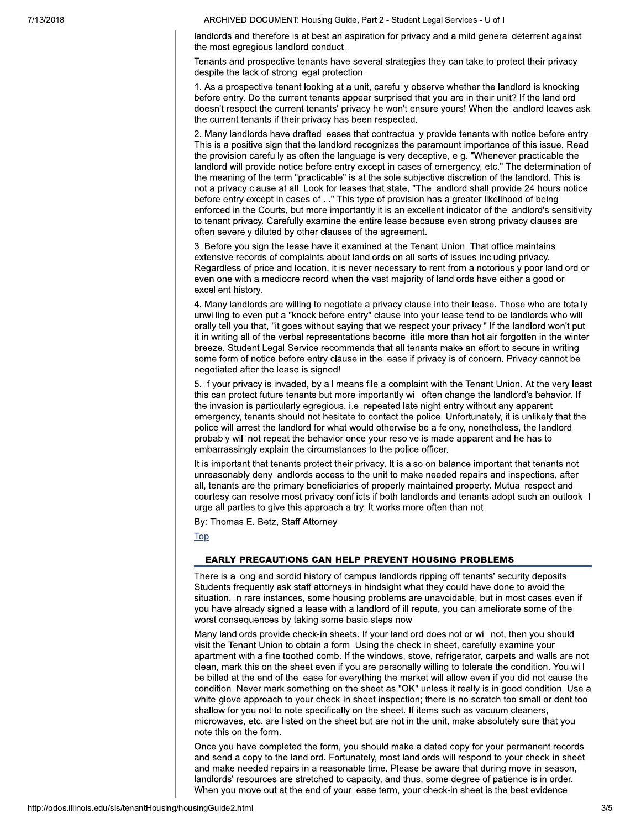landlords and therefore is at best an aspiration for privacy and a mild general deterrent against the most egregious landlord conduct.

Tenants and prospective tenants have several strategies they can take to protect their privacy despite the lack of strong legal protection.

1. As a prospective tenant looking at a unit, carefully observe whether the landlord is knocking before entry. Do the current tenants appear surprised that you are in their unit? If the landlord doesn't respect the current tenants' privacy he won't ensure yours! When the landlord leaves ask the current tenants if their privacy has been respected.

2. Many landlords have drafted leases that contractually provide tenants with notice before entry. This is a positive sign that the landlord recognizes the paramount importance of this issue. Read the provision carefully as often the language is very deceptive, e.g. "Whenever practicable the landlord will provide notice before entry except in cases of emergency, etc." The determination of the meaning of the term "practicable" is at the sole subjective discretion of the landlord. This is not a privacy clause at all. Look for leases that state, "The landlord shall provide 24 hours notice before entry except in cases of ..." This type of provision has a greater likelihood of being enforced in the Courts, but more importantly it is an excellent indicator of the landlord's sensitivity to tenant privacy. Carefully examine the entire lease because even strong privacy clauses are often severely diluted by other clauses of the agreement.

3. Before you sign the lease have it examined at the Tenant Union. That office maintains extensive records of complaints about landlords on all sorts of issues including privacy. Regardless of price and location, it is never necessary to rent from a notoriously poor landlord or even one with a mediocre record when the vast majority of landlords have either a good or excellent history.

4. Many landlords are willing to negotiate a privacy clause into their lease. Those who are totally unwilling to even put a "knock before entry" clause into your lease tend to be landlords who will orally tell you that, "it goes without saying that we respect your privacy." If the landlord won't put it in writing all of the verbal representations become little more than hot air forgotten in the winter breeze. Student Legal Service recommends that all tenants make an effort to secure in writing some form of notice before entry clause in the lease if privacy is of concern. Privacy cannot be negotiated after the lease is signed!

5. If your privacy is invaded, by all means file a complaint with the Tenant Union. At the very least this can protect future tenants but more importantly will often change the landlord's behavior. If the invasion is particularly egregious, i.e. repeated late night entry without any apparent emergency, tenants should not hesitate to contact the police. Unfortunately, it is unlikely that the police will arrest the landlord for what would otherwise be a felony, nonetheless, the landlord probably will not repeat the behavior once your resolve is made apparent and he has to embarrassingly explain the circumstances to the police officer.

It is important that tenants protect their privacy. It is also on balance important that tenants not unreasonably deny landlords access to the unit to make needed repairs and inspections, after all, tenants are the primary beneficiaries of properly maintained property. Mutual respect and courtesy can resolve most privacy conflicts if both landlords and tenants adopt such an outlook. I urge all parties to give this approach a try. It works more often than not.

By: Thomas E. Betz, Staff Attorney

Top

## **EARLY PRECAUTIONS CAN HELP PREVENT HOUSING PROBLEMS**

There is a long and sordid history of campus landlords ripping off tenants' security deposits. Students frequently ask staff attorneys in hindsight what they could have done to avoid the situation. In rare instances, some housing problems are unavoidable, but in most cases even if you have already signed a lease with a landlord of ill repute, you can ameliorate some of the worst consequences by taking some basic steps now.

Many landlords provide check-in sheets. If your landlord does not or will not, then you should visit the Tenant Union to obtain a form. Using the check-in sheet, carefully examine your apartment with a fine toothed comb. If the windows, stove, refrigerator, carpets and walls are not clean, mark this on the sheet even if you are personally willing to tolerate the condition. You will be billed at the end of the lease for everything the market will allow even if you did not cause the condition. Never mark something on the sheet as "OK" unless it really is in good condition. Use a white-glove approach to your check-in sheet inspection; there is no scratch too small or dent too shallow for you not to note specifically on the sheet. If items such as vacuum cleaners. microwaves, etc. are listed on the sheet but are not in the unit, make absolutely sure that you note this on the form.

Once you have completed the form, you should make a dated copy for your permanent records and send a copy to the landlord. Fortunately, most landlords will respond to your check-in sheet and make needed repairs in a reasonable time. Please be aware that during move-in season, landlords' resources are stretched to capacity, and thus, some degree of patience is in order. When you move out at the end of your lease term, your check-in sheet is the best evidence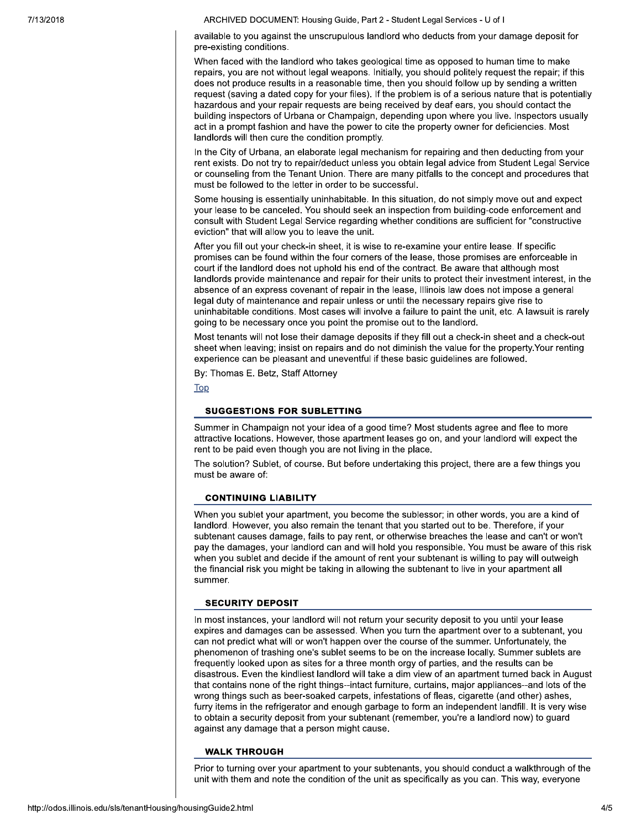available to you against the unscrupulous landlord who deducts from your damage deposit for pre-existing conditions.

When faced with the landlord who takes geological time as opposed to human time to make repairs, you are not without legal weapons, Initially, you should politely request the repair; if this does not produce results in a reasonable time, then you should follow up by sending a written request (saving a dated copy for your files). If the problem is of a serious nature that is potentially hazardous and your repair requests are being received by deaf ears, you should contact the building inspectors of Urbana or Champaign, depending upon where you live. Inspectors usually act in a prompt fashion and have the power to cite the property owner for deficiencies. Most landlords will then cure the condition promptly.

In the City of Urbana, an elaborate legal mechanism for repairing and then deducting from your rent exists. Do not try to repair/deduct unless you obtain legal advice from Student Legal Service or counseling from the Tenant Union. There are many pitfalls to the concept and procedures that must be followed to the letter in order to be successful.

Some housing is essentially uninhabitable. In this situation, do not simply move out and expect your lease to be canceled. You should seek an inspection from building-code enforcement and consult with Student Legal Service regarding whether conditions are sufficient for "constructive" eviction" that will allow you to leave the unit.

After you fill out your check-in sheet, it is wise to re-examine your entire lease. If specific promises can be found within the four corners of the lease, those promises are enforceable in court if the landlord does not uphold his end of the contract. Be aware that although most landlords provide maintenance and repair for their units to protect their investment interest, in the absence of an express covenant of repair in the lease, Illinois law does not impose a general legal duty of maintenance and repair unless or until the necessary repairs give rise to uninhabitable conditions. Most cases will involve a failure to paint the unit, etc. A lawsuit is rarely going to be necessary once you point the promise out to the landlord.

Most tenants will not lose their damage deposits if they fill out a check-in sheet and a check-out sheet when leaving; insist on repairs and do not diminish the value for the property. Your renting experience can be pleasant and uneventful if these basic guidelines are followed.

By: Thomas E. Betz, Staff Attorney

**Top** 

#### **SUGGESTIONS FOR SUBLETTING**

Summer in Champaign not your idea of a good time? Most students agree and flee to more attractive locations. However, those apartment leases go on, and your landlord will expect the rent to be paid even though you are not living in the place.

The solution? Sublet, of course. But before undertaking this project, there are a few things you must be aware of:

#### **CONTINUING LIABILITY**

When you sublet your apartment, you become the sublessor; in other words, you are a kind of landlord. However, you also remain the tenant that you started out to be. Therefore, if your subtenant causes damage, fails to pay rent, or otherwise breaches the lease and can't or won't pay the damages, your landlord can and will hold you responsible. You must be aware of this risk when you sublet and decide if the amount of rent your subtenant is willing to pay will outweigh the financial risk you might be taking in allowing the subtenant to live in your apartment all summer.

#### **SECURITY DEPOSIT**

In most instances, your landlord will not return your security deposit to you until your lease expires and damages can be assessed. When you turn the apartment over to a subtenant, you can not predict what will or won't happen over the course of the summer. Unfortunately, the phenomenon of trashing one's sublet seems to be on the increase locally. Summer sublets are frequently looked upon as sites for a three month orgy of parties, and the results can be disastrous. Even the kindliest landlord will take a dim view of an apartment turned back in August that contains none of the right things--intact furniture, curtains, major appliances--and lots of the wrong things such as beer-soaked carpets, infestations of fleas, cigarette (and other) ashes, furry items in the refrigerator and enough garbage to form an independent landfill. It is very wise to obtain a security deposit from your subtenant (remember, you're a landlord now) to guard against any damage that a person might cause.

#### **WALK THROUGH**

Prior to turning over your apartment to your subtenants, you should conduct a walkthrough of the unit with them and note the condition of the unit as specifically as you can. This way, everyone